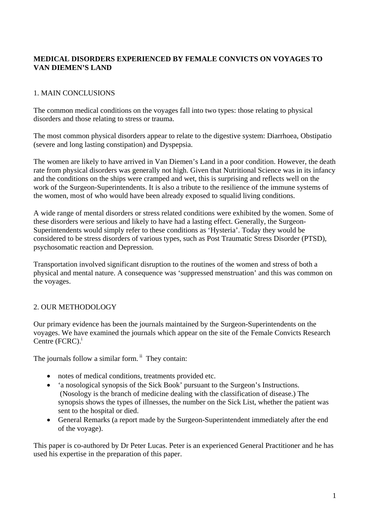# **MEDICAL DISORDERS EXPERIENCED BY FEMALE CONVICTS ON VOYAGES TO VAN DIEMEN'S LAND**

# 1. MAIN CONCLUSIONS

The common medical conditions on the voyages fall into two types: those relating to physical disorders and those relating to stress or trauma.

The most common physical disorders appear to relate to the digestive system: Diarrhoea, Obstipatio (severe and long lasting constipation) and Dyspepsia.

The women are likely to have arrived in Van Diemen's Land in a poor condition. However, the death rate from physical disorders was generally not high. Given that Nutritional Science was in its infancy and the conditions on the ships were cramped and wet, this is surprising and reflects well on the work of the Surgeon-Superintendents. It is also a tribute to the resilience of the immune systems of the women, most of who would have been already exposed to squalid living conditions.

A wide range of mental disorders or stress related conditions were exhibited by the women. Some of these disorders were serious and likely to have had a lasting effect. Generally, the Surgeon-Superintendents would simply refer to these conditions as 'Hysteria'. Today they would be considered to be stress disorders of various types, such as Post Traumatic Stress Disorder (PTSD), psychosomatic reaction and Depression.

Transportation involved significant disruption to the routines of the women and stress of both a physical and mental nature. A consequence was 'suppressed menstruation' and this was common on the voyages.

# 2. OUR METHODOLOGY

Our primary evidence has been the journals maintained by the Surgeon-Superintendents on the voyages. We have examined the journals which appear on the site of the Female Convicts Research Centre (FCRC).<sup>i</sup>

The journals follow a similar form.  $\ddot{h}$  They contain:

- notes of medical conditions, treatments provided etc.
- 'a nosological synopsis of the Sick Book' pursuant to the Surgeon's Instructions. (Nosology is the branch of medicine dealing with the classification of disease.) The synopsis shows the types of illnesses, the number on the Sick List, whether the patient was sent to the hospital or died.
- General Remarks (a report made by the Surgeon-Superintendent immediately after the end of the voyage).

This paper is co-authored by Dr Peter Lucas. Peter is an experienced General Practitioner and he has used his expertise in the preparation of this paper.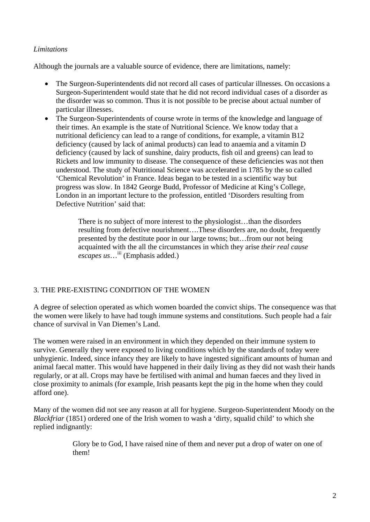## *Limitations*

Although the journals are a valuable source of evidence, there are limitations, namely:

- The Surgeon-Superintendents did not record all cases of particular illnesses. On occasions a Surgeon-Superintendent would state that he did not record individual cases of a disorder as the disorder was so common. Thus it is not possible to be precise about actual number of particular illnesses.
- The Surgeon-Superintendents of course wrote in terms of the knowledge and language of their times. An example is the state of Nutritional Science. We know today that a nutritional deficiency can lead to a range of conditions, for example, a vitamin B12 deficiency (caused by lack of animal products) can lead to anaemia and a vitamin D deficiency (caused by lack of sunshine, dairy products, fish oil and greens) can lead to Rickets and low immunity to disease. The consequence of these deficiencies was not then understood. The study of Nutritional Science was accelerated in 1785 by the so called 'Chemical Revolution' in France. Ideas began to be tested in a scientific way but progress was slow. In 1842 George Budd, Professor of Medicine at King's College, London in an important lecture to the profession, entitled 'Disorders resulting from Defective Nutrition' said that:

There is no subject of more interest to the physiologist…than the disorders resulting from defective nourishment….These disorders are, no doubt, frequently presented by the destitute poor in our large towns; but…from our not being acquainted with the all the circumstances in which they arise *their real cause escapes us*…iii (Emphasis added.)

### 3. THE PRE-EXISTING CONDITION OF THE WOMEN

A degree of selection operated as which women boarded the convict ships. The consequence was that the women were likely to have had tough immune systems and constitutions. Such people had a fair chance of survival in Van Diemen's Land.

The women were raised in an environment in which they depended on their immune system to survive. Generally they were exposed to living conditions which by the standards of today were unhygienic. Indeed, since infancy they are likely to have ingested significant amounts of human and animal faecal matter. This would have happened in their daily living as they did not wash their hands regularly, or at all. Crops may have be fertilised with animal and human faeces and they lived in close proximity to animals (for example, Irish peasants kept the pig in the home when they could afford one).

Many of the women did not see any reason at all for hygiene. Surgeon-Superintendent Moody on the *Blackfriar* (1851) ordered one of the Irish women to wash a 'dirty, squalid child' to which she replied indignantly:

> Glory be to God, I have raised nine of them and never put a drop of water on one of them!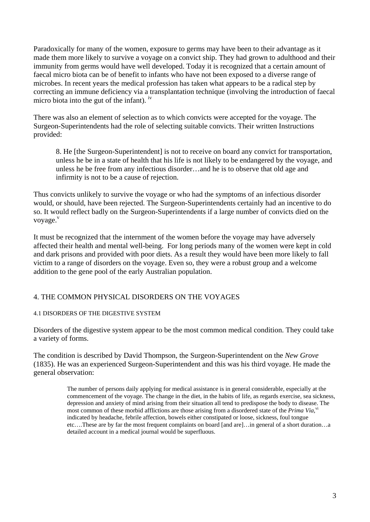Paradoxically for many of the women, exposure to germs may have been to their advantage as it made them more likely to survive a voyage on a convict ship. They had grown to adulthood and their immunity from germs would have well developed. Today it is recognized that a certain amount of faecal micro biota can be of benefit to infants who have not been exposed to a diverse range of microbes. In recent years the medical profession has taken what appears to be a radical step by correcting an immune deficiency via a transplantation technique (involving the introduction of faecal micro biota into the gut of the infant). iv

There was also an element of selection as to which convicts were accepted for the voyage. The Surgeon-Superintendents had the role of selecting suitable convicts. Their written Instructions provided:

8. He [the Surgeon-Superintendent] is not to receive on board any convict for transportation, unless he be in a state of health that his life is not likely to be endangered by the voyage, and unless he be free from any infectious disorder…and he is to observe that old age and infirmity is not to be a cause of rejection.

Thus convicts unlikely to survive the voyage or who had the symptoms of an infectious disorder would, or should, have been rejected. The Surgeon-Superintendents certainly had an incentive to do so. It would reflect badly on the Surgeon-Superintendents if a large number of convicts died on the voyage.<sup>v</sup>

It must be recognized that the internment of the women before the voyage may have adversely affected their health and mental well-being. For long periods many of the women were kept in cold and dark prisons and provided with poor diets. As a result they would have been more likely to fall victim to a range of disorders on the voyage. Even so, they were a robust group and a welcome addition to the gene pool of the early Australian population.

### 4. THE COMMON PHYSICAL DISORDERS ON THE VOYAGES

#### 4.1 DISORDERS OF THE DIGESTIVE SYSTEM

Disorders of the digestive system appear to be the most common medical condition. They could take a variety of forms.

The condition is described by David Thompson, the Surgeon-Superintendent on the *New Grove*  (1835). He was an experienced Surgeon-Superintendent and this was his third voyage. He made the general observation:

> The number of persons daily applying for medical assistance is in general considerable, especially at the commencement of the voyage. The change in the diet, in the habits of life, as regards exercise, sea sickness, depression and anxiety of mind arising from their situation all tend to predispose the body to disease. The most common of these morbid afflictions are those arising from a disordered state of the *Prima Via*,<sup>vi</sup> indicated by headache, febrile affection, bowels either constipated or loose, sickness, foul tongue etc….These are by far the most frequent complaints on board [and are]…in general of a short duration…a detailed account in a medical journal would be superfluous.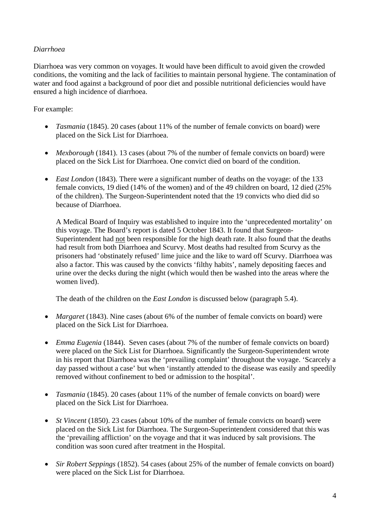## *Diarrhoea*

Diarrhoea was very common on voyages. It would have been difficult to avoid given the crowded conditions, the vomiting and the lack of facilities to maintain personal hygiene. The contamination of water and food against a background of poor diet and possible nutritional deficiencies would have ensured a high incidence of diarrhoea.

## For example:

- *Tasmania* (1845). 20 cases (about 11% of the number of female convicts on board) were placed on the Sick List for Diarrhoea.
- *Mexborough* (1841). 13 cases (about 7% of the number of female convicts on board) were placed on the Sick List for Diarrhoea. One convict died on board of the condition.
- *East London* (1843). There were a significant number of deaths on the voyage: of the 133 female convicts, 19 died (14% of the women) and of the 49 children on board, 12 died (25% of the children). The Surgeon-Superintendent noted that the 19 convicts who died did so because of Diarrhoea.

A Medical Board of Inquiry was established to inquire into the 'unprecedented mortality' on this voyage. The Board's report is dated 5 October 1843. It found that Surgeon-Superintendent had not been responsible for the high death rate. It also found that the deaths had result from both Diarrhoea and Scurvy. Most deaths had resulted from Scurvy as the prisoners had 'obstinately refused' lime juice and the like to ward off Scurvy. Diarrhoea was also a factor. This was caused by the convicts 'filthy habits', namely depositing faeces and urine over the decks during the night (which would then be washed into the areas where the women lived).

The death of the children on the *East London* is discussed below (paragraph 5.4).

- *Margaret* (1843). Nine cases (about 6% of the number of female convicts on board) were placed on the Sick List for Diarrhoea.
- *Emma Eugenia* (1844). Seven cases (about 7% of the number of female convicts on board) were placed on the Sick List for Diarrhoea. Significantly the Surgeon-Superintendent wrote in his report that Diarrhoea was the 'prevailing complaint' throughout the voyage. 'Scarcely a day passed without a case' but when 'instantly attended to the disease was easily and speedily removed without confinement to bed or admission to the hospital'.
- *Tasmania* (1845). 20 cases (about 11% of the number of female convicts on board) were placed on the Sick List for Diarrhoea.
- *St Vincent* (1850). 23 cases (about 10% of the number of female convicts on board) were placed on the Sick List for Diarrhoea. The Surgeon-Superintendent considered that this was the 'prevailing affliction' on the voyage and that it was induced by salt provisions. The condition was soon cured after treatment in the Hospital.
- *Sir Robert Seppings* (1852). 54 cases (about 25% of the number of female convicts on board) were placed on the Sick List for Diarrhoea.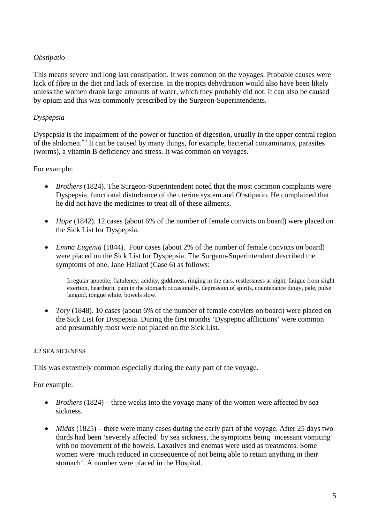## *Obstipatio*

This means severe and long last constipation. It was common on the voyages. Probable causes were lack of fibre in the diet and lack of exercise. In the tropics dehydration would also have been likely unless the women drank large amounts of water, which they probably did not. It can also be caused by opium and this was commonly prescribed by the Surgeon-Superintendents.

### *Dyspepsia*

Dyspepsia is the impairment of the power or function of digestion, usually in the upper central region of the abdomen.<sup>vii</sup> It can be caused by many things, for example, bacterial contaminants, parasites (worms), a vitamin B deficiency and stress. It was common on voyages.

### For example:

- *Brothers* (1824). The Surgeon-Superintendent noted that the most common complaints were Dyspepsia, functional disturbance of the uterine system and Obstipatio. He complained that he did not have the medicines to treat all of these ailments.
- *Hope* (1842). 12 cases (about 6% of the number of female convicts on board) were placed on the Sick List for Dyspepsia.
- *Emma Eugenia* (1844). Four cases (about 2% of the number of female convicts on board) were placed on the Sick List for Dyspepsia. The Surgeon-Superintendent described the symptoms of one, Jane Hallard (Case 6) as follows:

Irregular appetite, flatulency, acidity, giddiness, ringing in the ears, restlessness at night, fatigue from slight exertion, heartburn, pain in the stomach occasionally, depression of spirits, countenance dingy, pale, pulse languid, tongue white, bowels slow.

• *Tory* (1848). 10 cases (about 6% of the number of female convicts on board) were placed on the Sick List for Dyspepsia. During the first months 'Dyspeptic afflictions' were common and presumably most were not placed on the Sick List.

#### 4.2 SEA SICKNESS

This was extremely common especially during the early part of the voyage.

For example:

- *Brothers* (1824) three weeks into the voyage many of the women were affected by sea sickness.
- *Midas* (1825) there were many cases during the early part of the voyage. After 25 days two thirds had been 'severely affected' by sea sickness, the symptoms being 'incessant vomiting' with no movement of the bowels. Laxatives and enemas were used as treatments. Some women were 'much reduced in consequence of not being able to retain anything in their stomach'. A number were placed in the Hospital.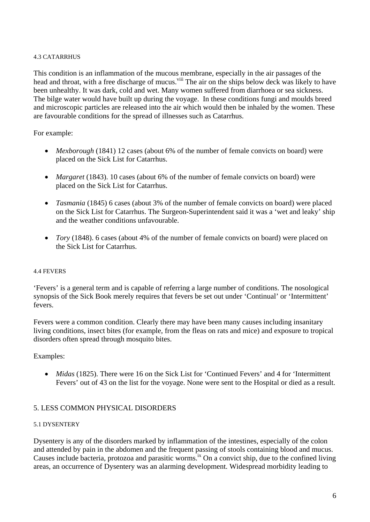#### 4.3 CATARRHUS

This condition is an inflammation of the mucous membrane, especially in the air passages of the head and throat, with a free discharge of mucus.<sup>viii</sup> The air on the ships below deck was likely to have been unhealthy. It was dark, cold and wet. Many women suffered from diarrhoea or sea sickness. The bilge water would have built up during the voyage. In these conditions fungi and moulds breed and microscopic particles are released into the air which would then be inhaled by the women. These are favourable conditions for the spread of illnesses such as Catarrhus.

### For example:

- *Mexborough* (1841) 12 cases (about 6% of the number of female convicts on board) were placed on the Sick List for Catarrhus.
- *Margaret* (1843). 10 cases (about 6% of the number of female convicts on board) were placed on the Sick List for Catarrhus.
- *Tasmania* (1845) 6 cases (about 3% of the number of female convicts on board) were placed on the Sick List for Catarrhus. The Surgeon-Superintendent said it was a 'wet and leaky' ship and the weather conditions unfavourable.
- *Tory* (1848). 6 cases (about 4% of the number of female convicts on board) were placed on the Sick List for Catarrhus.

#### 4.4 FEVERS

'Fevers' is a general term and is capable of referring a large number of conditions. The nosological synopsis of the Sick Book merely requires that fevers be set out under 'Continual' or 'Intermittent' fevers.

Fevers were a common condition. Clearly there may have been many causes including insanitary living conditions, insect bites (for example, from the fleas on rats and mice) and exposure to tropical disorders often spread through mosquito bites.

#### Examples:

• *Midas* (1825). There were 16 on the Sick List for 'Continued Fevers' and 4 for 'Intermittent Fevers' out of 43 on the list for the voyage. None were sent to the Hospital or died as a result.

### 5. LESS COMMON PHYSICAL DISORDERS

#### 5.1 DYSENTERY

Dysentery is any of the disorders marked by inflammation of the intestines, especially of the colon and attended by pain in the abdomen and the frequent passing of stools containing blood and mucus. Causes include bacteria, protozoa and parasitic worms.<sup>ix</sup> On a convict ship, due to the confined living areas, an occurrence of Dysentery was an alarming development. Widespread morbidity leading to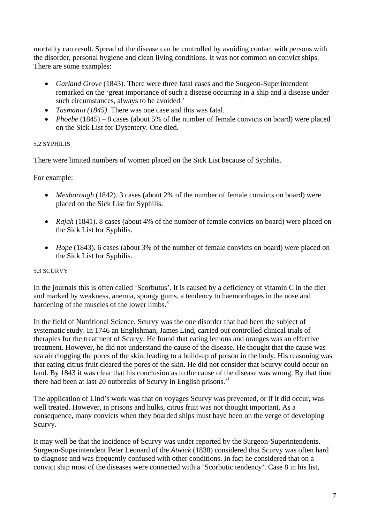mortality can result. Spread of the disease can be controlled by avoiding contact with persons with the disorder, personal hygiene and clean living conditions. It was not common on convict ships. There are some examples:

- *Garland Grove* (1843). There were three fatal cases and the Surgeon-Superintendent remarked on the 'great importance of such a disease occurring in a ship and a disease under such circumstances, always to be avoided.'
- *Tasmania (1845)*. There was one case and this was fatal.
- *Phoebe* (1845) 8 cases (about 5% of the number of female convicts on board) were placed on the Sick List for Dysentery. One died.

### 5.2 SYPHILIS

There were limited numbers of women placed on the Sick List because of Syphilis.

For example:

- *Mexborough* (1842). 3 cases (about 2% of the number of female convicts on board) were placed on the Sick List for Syphilis.
- *Rajah* (1841). 8 cases (about 4% of the number of female convicts on board) were placed on the Sick List for Syphilis.
- *Hope* (1843). 6 cases (about 3% of the number of female convicts on board) were placed on the Sick List for Syphilis.

#### 5.3 SCURVY

In the journals this is often called 'Scorbutus'. It is caused by a deficiency of vitamin C in the diet and marked by weakness, anemia, spongy gums, a tendency to haemorrhages in the nose and hardening of the muscles of the lower limbs. $^x$ 

In the field of Nutritional Science, Scurvy was the one disorder that had been the subject of systematic study. In 1746 an Englishman, James Lind, carried out controlled clinical trials of therapies for the treatment of Scurvy. He found that eating lemons and oranges was an effective treatment. However, he did not understand the cause of the disease. He thought that the cause was sea air clogging the pores of the skin, leading to a build-up of poison in the body. His reasoning was that eating citrus fruit cleared the pores of the skin. He did not consider that Scurvy could occur on land. By 1843 it was clear that his conclusion as to the cause of the disease was wrong. By that time there had been at last 20 outbreaks of Scurvy in English prisons. $X<sup>1</sup>$ 

The application of Lind's work was that on voyages Scurvy was prevented, or if it did occur, was well treated. However, in prisons and hulks, citrus fruit was not thought important. As a consequence, many convicts when they boarded ships must have been on the verge of developing Scurvy.

It may well be that the incidence of Scurvy was under reported by the Surgeon-Superintendents. Surgeon-Superintendent Peter Leonard of the *Atwick* (1838) considered that Scurvy was often hard to diagnose and was frequently confused with other conditions. In fact he considered that on a convict ship most of the diseases were connected with a 'Scorbutic tendency'. Case 8 in his list,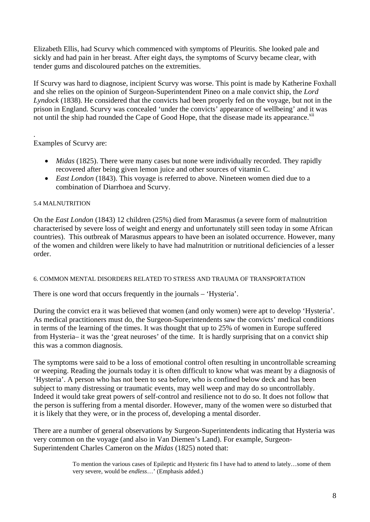Elizabeth Ellis, had Scurvy which commenced with symptoms of Pleuritis. She looked pale and sickly and had pain in her breast. After eight days, the symptoms of Scurvy became clear, with tender gums and discoloured patches on the extremities.

If Scurvy was hard to diagnose, incipient Scurvy was worse. This point is made by Katherine Foxhall and she relies on the opinion of Surgeon-Superintendent Pineo on a male convict ship, the *Lord Lyndock* (1838). He considered that the convicts had been properly fed on the voyage, but not in the prison in England. Scurvy was concealed 'under the convicts' appearance of wellbeing' and it was not until the ship had rounded the Cape of Good Hope, that the disease made its appearance.<sup>xii</sup>

. Examples of Scurvy are:

- *Midas* (1825). There were many cases but none were individually recorded. They rapidly recovered after being given lemon juice and other sources of vitamin C.
- *East London* (1843). This voyage is referred to above. Nineteen women died due to a combination of Diarrhoea and Scurvy.

### 5.4 MALNUTRITION

On the *East London* (1843) 12 children (25%) died from Marasmus (a severe form of malnutrition characterised by severe loss of weight and energy and unfortunately still seen today in some African countries). This outbreak of Marasmus appears to have been an isolated occurrence. However, many of the women and children were likely to have had malnutrition or nutritional deficiencies of a lesser order.

#### 6. COMMON MENTAL DISORDERS RELATED TO STRESS AND TRAUMA OF TRANSPORTATION

There is one word that occurs frequently in the journals – 'Hysteria'.

During the convict era it was believed that women (and only women) were apt to develop 'Hysteria'. As medical practitioners must do, the Surgeon-Superintendents saw the convicts' medical conditions in terms of the learning of the times. It was thought that up to 25% of women in Europe suffered from Hysteria– it was the 'great neuroses' of the time. It is hardly surprising that on a convict ship this was a common diagnosis.

The symptoms were said to be a loss of emotional control often resulting in uncontrollable screaming or weeping. Reading the journals today it is often difficult to know what was meant by a diagnosis of 'Hysteria'. A person who has not been to sea before, who is confined below deck and has been subject to many distressing or traumatic events, may well weep and may do so uncontrollably. Indeed it would take great powers of self-control and resilience not to do so. It does not follow that the person is suffering from a mental disorder. However, many of the women were so disturbed that it is likely that they were, or in the process of, developing a mental disorder.

There are a number of general observations by Surgeon-Superintendents indicating that Hysteria was very common on the voyage (and also in Van Diemen's Land). For example, Surgeon-Superintendent Charles Cameron on the *Midas* (1825) noted that:

> To mention the various cases of Epileptic and Hysteric fits I have had to attend to lately…some of them very severe, would be *endless*…' (Emphasis added.)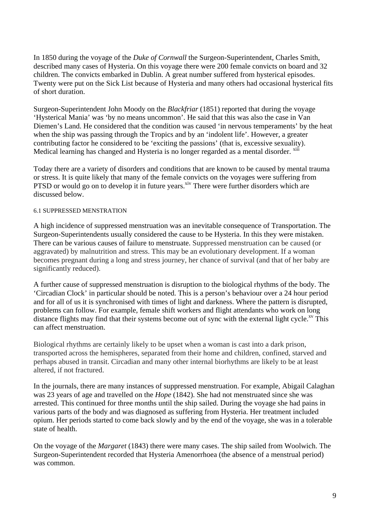In 1850 during the voyage of the *Duke of Cornwall* the Surgeon-Superintendent, Charles Smith, described many cases of Hysteria. On this voyage there were 200 female convicts on board and 32 children. The convicts embarked in Dublin. A great number suffered from hysterical episodes. Twenty were put on the Sick List because of Hysteria and many others had occasional hysterical fits of short duration.

Surgeon-Superintendent John Moody on the *Blackfriar* (1851) reported that during the voyage 'Hysterical Mania' was 'by no means uncommon'. He said that this was also the case in Van Diemen's Land. He considered that the condition was caused 'in nervous temperaments' by the heat when the ship was passing through the Tropics and by an 'indolent life'. However, a greater contributing factor he considered to be 'exciting the passions' (that is, excessive sexuality). Medical learning has changed and Hysteria is no longer regarded as a mental disorder. <sup>xiii</sup>

Today there are a variety of disorders and conditions that are known to be caused by mental trauma or stress. It is quite likely that many of the female convicts on the voyages were suffering from PTSD or would go on to develop it in future years.<sup>xiv</sup> There were further disorders which are discussed below.

#### 6.1 SUPPRESSED MENSTRATION

A high incidence of suppressed menstruation was an inevitable consequence of Transportation. The Surgeon-Superintendents usually considered the cause to be Hysteria. In this they were mistaken. There can be various causes of failure to menstruate. Suppressed menstruation can be caused (or aggravated) by malnutrition and stress. This may be an evolutionary development. If a woman becomes pregnant during a long and stress journey, her chance of survival (and that of her baby are significantly reduced).

A further cause of suppressed menstruation is disruption to the biological rhythms of the body. The 'Circadian Clock' in particular should be noted. This is a person's behaviour over a 24 hour period and for all of us it is synchronised with times of light and darkness. Where the pattern is disrupted, problems can follow. For example, female shift workers and flight attendants who work on long distance flights may find that their systems become out of sync with the external light cycle.<sup>xv</sup> This can affect menstruation.

Biological rhythms are certainly likely to be upset when a woman is cast into a dark prison, transported across the hemispheres, separated from their home and children, confined, starved and perhaps abused in transit. Circadian and many other internal biorhythms are likely to be at least altered, if not fractured.

In the journals, there are many instances of suppressed menstruation. For example, Abigail Calaghan was 23 years of age and travelled on the *Hope* (1842). She had not menstruated since she was arrested. This continued for three months until the ship sailed. During the voyage she had pains in various parts of the body and was diagnosed as suffering from Hysteria. Her treatment included opium. Her periods started to come back slowly and by the end of the voyage, she was in a tolerable state of health.

On the voyage of the *Margaret* (1843) there were many cases. The ship sailed from Woolwich. The Surgeon-Superintendent recorded that Hysteria Amenorrhoea (the absence of a menstrual period) was common.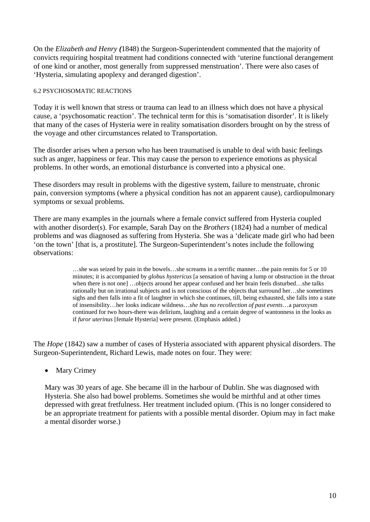On the *Elizabeth and Henry (*1848) the Surgeon-Superintendent commented that the majority of convicts requiring hospital treatment had conditions connected with 'uterine functional derangement of one kind or another, most generally from suppressed menstruation'. There were also cases of 'Hysteria, simulating apoplexy and deranged digestion'.

#### 6.2 PSYCHOSOMATIC REACTIONS

Today it is well known that stress or trauma can lead to an illness which does not have a physical cause, a 'psychosomatic reaction'. The technical term for this is 'somatisation disorder'. It is likely that many of the cases of Hysteria were in reality somatisation disorders brought on by the stress of the voyage and other circumstances related to Transportation.

The disorder arises when a person who has been traumatised is unable to deal with basic feelings such as anger, happiness or fear. This may cause the person to experience emotions as physical problems. In other words, an emotional disturbance is converted into a physical one.

These disorders may result in problems with the digestive system, failure to menstruate, chronic pain, conversion symptoms (where a physical condition has not an apparent cause), cardiopulmonary symptoms or sexual problems.

There are many examples in the journals where a female convict suffered from Hysteria coupled with another disorder(s). For example, Sarah Day on the *Brothers* (1824) had a number of medical problems and was diagnosed as suffering from Hysteria. She was a 'delicate made girl who had been 'on the town' [that is, a prostitute]. The Surgeon-Superintendent's notes include the following observations:

> …she was seized by pain in the bowels…she screams in a terrific manner…the pain remits for 5 or 10 minutes; it is accompanied by *globus hystericus* [a sensation of having a lump or obstruction in the throat when there is not one] …objects around her appear confused and her brain feels disturbed…she talks rationally but on irrational subjects and is not conscious of the objects that surround her…she sometimes sighs and then falls into a fit of laughter in which she continues, till, being exhausted, she falls into a state of insensibility…her looks indicate wildness…*she has no recollection of past events*…a paroxysm continued for two hours-there was delirium, laughing and a certain degree of wantonness in the looks as if *furor uterinus* [female Hysteria] were present. (Emphasis added.)

The *Hope* (1842) saw a number of cases of Hysteria associated with apparent physical disorders. The Surgeon-Superintendent, Richard Lewis, made notes on four. They were:

• Mary Crimey

Mary was 30 years of age. She became ill in the harbour of Dublin. She was diagnosed with Hysteria. She also had bowel problems. Sometimes she would be mirthful and at other times depressed with great fretfulness. Her treatment included opium. (This is no longer considered to be an appropriate treatment for patients with a possible mental disorder. Opium may in fact make a mental disorder worse.)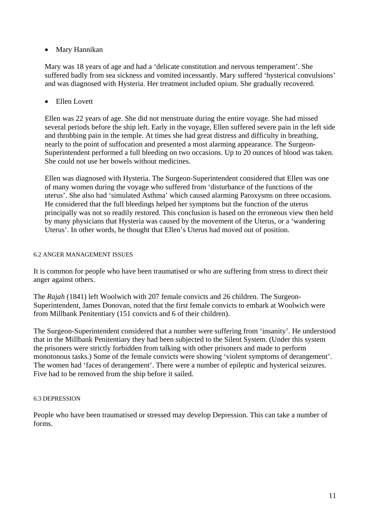### Mary Hannikan

Mary was 18 years of age and had a 'delicate constitution and nervous temperament'. She suffered badly from sea sickness and vomited incessantly. Mary suffered 'hysterical convulsions' and was diagnosed with Hysteria. Her treatment included opium. She gradually recovered.

### • Ellen Lovett

Ellen was 22 years of age. She did not menstruate during the entire voyage. She had missed several periods before the ship left. Early in the voyage, Ellen suffered severe pain in the left side and throbbing pain in the temple. At times she had great distress and difficulty in breathing, nearly to the point of suffocation and presented a most alarming appearance. The Surgeon-Superintendent performed a full bleeding on two occasions. Up to 20 ounces of blood was taken. She could not use her bowels without medicines.

Ellen was diagnosed with Hysteria. The Surgeon-Superintendent considered that Ellen was one of many women during the voyage who suffered from 'disturbance of the functions of the uterus'. She also had 'simulated Asthma' which caused alarming Paroxysms on three occasions. He considered that the full bleedings helped her symptoms but the function of the uterus principally was not so readily restored. This conclusion is based on the erroneous view then held by many physicians that Hysteria was caused by the movement of the Uterus, or a 'wandering Uterus'. In other words, he thought that Ellen's Uterus had moved out of position.

### 6.2 ANGER MANAGEMENT ISSUES

It is common for people who have been traumatised or who are suffering from stress to direct their anger against others.

The *Rajah* (1841) left Woolwich with 207 female convicts and 26 children. The Surgeon-Superintendent, James Donovan, noted that the first female convicts to embark at Woolwich were from Millbank Penitentiary (151 convicts and 6 of their children).

The Surgeon-Superintendent considered that a number were suffering from 'insanity'. He understood that in the Millbank Penitentiary they had been subjected to the Silent System. (Under this system the prisoners were strictly forbidden from talking with other prisoners and made to perform monotonous tasks.) Some of the female convicts were showing 'violent symptoms of derangement'. The women had 'faces of derangement'. There were a number of epileptic and hysterical seizures. Five had to be removed from the ship before it sailed.

#### 6.3 DEPRESSION

People who have been traumatised or stressed may develop Depression. This can take a number of forms.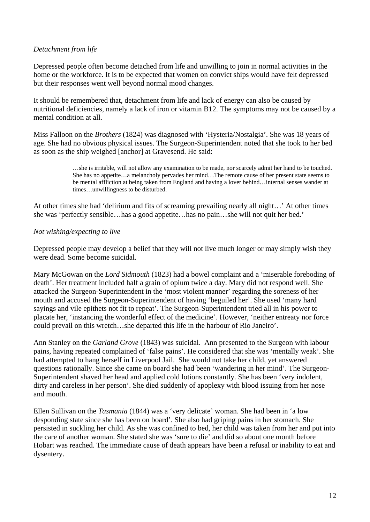### *Detachment from life*

Depressed people often become detached from life and unwilling to join in normal activities in the home or the workforce. It is to be expected that women on convict ships would have felt depressed but their responses went well beyond normal mood changes.

It should be remembered that, detachment from life and lack of energy can also be caused by nutritional deficiencies, namely a lack of iron or vitamin B12. The symptoms may not be caused by a mental condition at all.

Miss Falloon on the *Brothers* (1824) was diagnosed with 'Hysteria/Nostalgia'. She was 18 years of age. She had no obvious physical issues. The Surgeon-Superintendent noted that she took to her bed as soon as the ship weighed [anchor] at Gravesend. He said:

> …she is irritable, will not allow any examination to be made, nor scarcely admit her hand to be touched. She has no appetite…a melancholy pervades her mind…The remote cause of her present state seems to be mental affliction at being taken from England and having a lover behind…internal senses wander at times…unwillingness to be disturbed.

At other times she had 'delirium and fits of screaming prevailing nearly all night…' At other times she was 'perfectly sensible…has a good appetite…has no pain…she will not quit her bed.'

#### *Not wishing/expecting to live*

Depressed people may develop a belief that they will not live much longer or may simply wish they were dead. Some become suicidal.

Mary McGowan on the *Lord Sidmouth* (1823) had a bowel complaint and a 'miserable foreboding of death'. Her treatment included half a grain of opium twice a day. Mary did not respond well. She attacked the Surgeon-Superintendent in the 'most violent manner' regarding the soreness of her mouth and accused the Surgeon-Superintendent of having 'beguiled her'. She used 'many hard sayings and vile epithets not fit to repeat'. The Surgeon-Superintendent tried all in his power to placate her, 'instancing the wonderful effect of the medicine'. However, 'neither entreaty nor force could prevail on this wretch…she departed this life in the harbour of Rio Janeiro'.

Ann Stanley on the *Garland Grove* (1843) was suicidal. Ann presented to the Surgeon with labour pains, having repeated complained of 'false pains'. He considered that she was 'mentally weak'. She had attempted to hang herself in Liverpool Jail. She would not take her child, yet answered questions rationally. Since she came on board she had been 'wandering in her mind'. The Surgeon-Superintendent shaved her head and applied cold lotions constantly. She has been 'very indolent, dirty and careless in her person'. She died suddenly of apoplexy with blood issuing from her nose and mouth.

Ellen Sullivan on the *Tasmania* (1844) was a 'very delicate' woman. She had been in 'a low desponding state since she has been on board'. She also had griping pains in her stomach. She persisted in suckling her child. As she was confined to bed, her child was taken from her and put into the care of another woman. She stated she was 'sure to die' and did so about one month before Hobart was reached. The immediate cause of death appears have been a refusal or inability to eat and dysentery.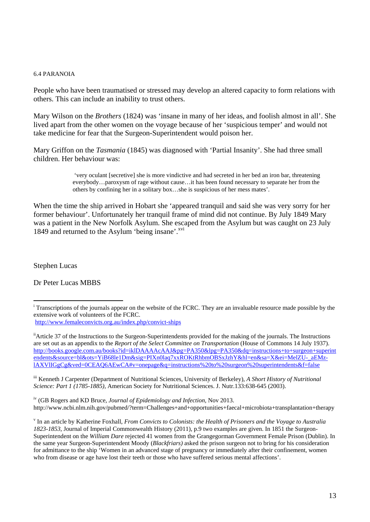#### 6.4 PARANOIA

People who have been traumatised or stressed may develop an altered capacity to form relations with others. This can include an inability to trust others.

Mary Wilson on the *Brothers* (1824) was 'insane in many of her ideas, and foolish almost in all'. She lived apart from the other women on the voyage because of her 'suspicious temper' and would not take medicine for fear that the Surgeon-Superintendent would poison her.

Mary Griffon on the *Tasmania* (1845) was diagnosed with 'Partial Insanity'. She had three small children. Her behaviour was:

> 'very oculant [secretive] she is more vindictive and had secreted in her bed an iron bar, threatening everybody…paroxysm of rage without cause…it has been found necessary to separate her from the others by confining her in a solitary box…she is suspicious of her mess mates'.

When the time the ship arrived in Hobart she 'appeared tranquil and said she was very sorry for her former behaviour'. Unfortunately her tranquil frame of mind did not continue. By July 1849 Mary was a patient in the New Norfolk Asylum. She escaped from the Asylum but was caught on 23 July 1849 and returned to the Asylum 'being insane'.<sup>xvi</sup>

Stephen Lucas

1

Dr Peter Lucas MBBS

<sup>ii</sup>Article 37 of the Instructions to the Surgeon-Superintendents provided for the making of the journals. The Instructions are set out as an appendix to the *Report of the Select Committee on Transportation* (House of Commons 14 July 1937). http://books.google.com.au/books?id=iklDAAAAcAAJ&pg=PA350&lpg=PA350&dq=instructions+to+surgeon+superint endents&source=bl&ots=YiB68le1Dm&sig=PIXn0laq7xxROKtRhbmOBSxJzhY&hl=en&sa=X&ei=MelZU-\_aEMzlAXVlIGgCg&ved=0CEAQ6AEwCA#v=onepage&q=instructions%20to%20surgeon%20superintendents&f=false

iii Kenneth J Carpenter (Department of Nutritional Sciences, University of Berkeley), *A Short History of Nutritional Science: Part 1 (1785-1885),* American Society for Nutritional Sciences. J. Nutr.133:638-645 (2003).

iv (GB Rogers and KD Bruce, *Journal of Epidemiology and Infection,* Nov 2013. http://www.ncbi.nlm.nih.gov/pubmed/?term=Challenges+and+opportunities+faecal+microbiota+transplantation+therapy

<sup>&</sup>lt;sup>i</sup> Transcriptions of the journals appear on the website of the FCRC. They are an invaluable resource made possible by the extensive work of volunteers of the FCRC.

http://www.femaleconvicts.org.au/index.php/convict-ships

v In an article by Katherine Foxhall, *From Convicts to Colonists: the Health of Prisoners and the Voyage to Australia 1823-1853*, Journal of Imperial Commonwealth History (2011), p.9 two examples are given. In 1851 the Surgeon-Superintendent on the *William Dare* rejected 41 women from the Grangegorman Government Female Prison (Dublin). In the same year Surgeon-Superintendent Moody (*Blackfriars)* asked the prison surgeon not to bring for his consideration for admittance to the ship 'Women in an advanced stage of pregnancy or immediately after their confinement, women who from disease or age have lost their teeth or those who have suffered serious mental affections'.